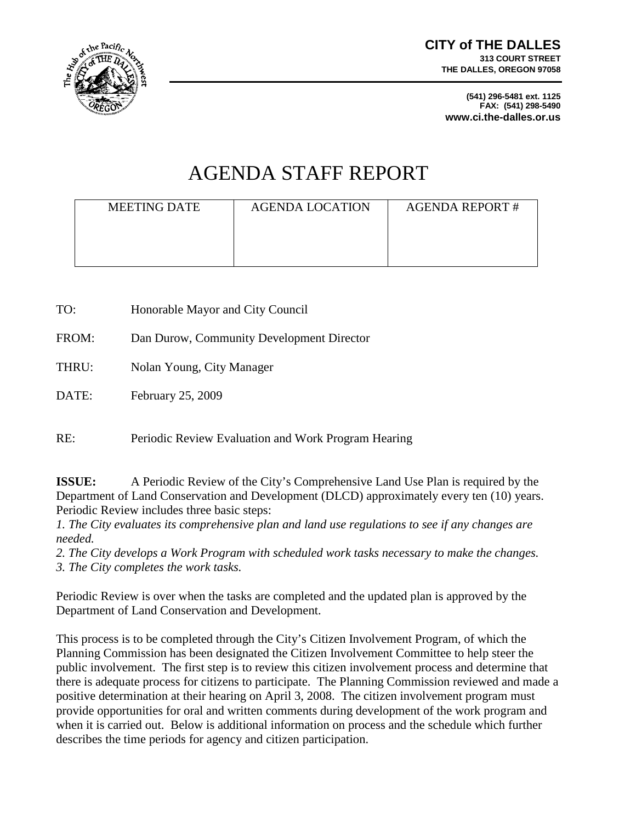

**(541) 296-5481 ext. 1125 FAX: (541) 298-5490 www.ci.the-dalles.or.us**

# AGENDA STAFF REPORT

| <b>MEETING DATE</b> | <b>AGENDA LOCATION</b> | <b>AGENDA REPORT#</b> |
|---------------------|------------------------|-----------------------|
|                     |                        |                       |

TO: Honorable Mayor and City Council FROM: Dan Durow, Community Development Director THRU: Nolan Young, City Manager DATE: February 25, 2009

RE: Periodic Review Evaluation and Work Program Hearing

**ISSUE:** A Periodic Review of the City's Comprehensive Land Use Plan is required by the Department of Land Conservation and Development (DLCD) approximately every ten (10) years. Periodic Review includes three basic steps:

*1. The City evaluates its comprehensive plan and land use regulations to see if any changes are needed.*

*2. The City develops a Work Program with scheduled work tasks necessary to make the changes. 3. The City completes the work tasks.*

Periodic Review is over when the tasks are completed and the updated plan is approved by the Department of Land Conservation and Development.

This process is to be completed through the City's Citizen Involvement Program, of which the Planning Commission has been designated the Citizen Involvement Committee to help steer the public involvement. The first step is to review this citizen involvement process and determine that there is adequate process for citizens to participate. The Planning Commission reviewed and made a positive determination at their hearing on April 3, 2008. The citizen involvement program must provide opportunities for oral and written comments during development of the work program and when it is carried out. Below is additional information on process and the schedule which further describes the time periods for agency and citizen participation.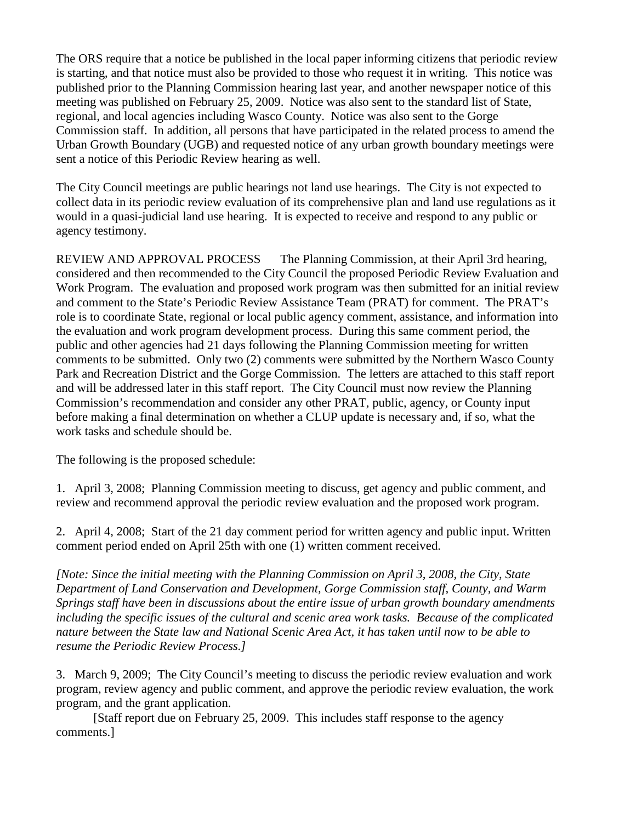The ORS require that a notice be published in the local paper informing citizens that periodic review is starting, and that notice must also be provided to those who request it in writing. This notice was published prior to the Planning Commission hearing last year, and another newspaper notice of this meeting was published on February 25, 2009. Notice was also sent to the standard list of State, regional, and local agencies including Wasco County. Notice was also sent to the Gorge Commission staff. In addition, all persons that have participated in the related process to amend the Urban Growth Boundary (UGB) and requested notice of any urban growth boundary meetings were sent a notice of this Periodic Review hearing as well.

The City Council meetings are public hearings not land use hearings. The City is not expected to collect data in its periodic review evaluation of its comprehensive plan and land use regulations as it would in a quasi-judicial land use hearing. It is expected to receive and respond to any public or agency testimony.

REVIEW AND APPROVAL PROCESS The Planning Commission, at their April 3rd hearing, considered and then recommended to the City Council the proposed Periodic Review Evaluation and Work Program. The evaluation and proposed work program was then submitted for an initial review and comment to the State's Periodic Review Assistance Team (PRAT) for comment. The PRAT's role is to coordinate State, regional or local public agency comment, assistance, and information into the evaluation and work program development process. During this same comment period, the public and other agencies had 21 days following the Planning Commission meeting for written comments to be submitted. Only two (2) comments were submitted by the Northern Wasco County Park and Recreation District and the Gorge Commission. The letters are attached to this staff report and will be addressed later in this staff report. The City Council must now review the Planning Commission's recommendation and consider any other PRAT, public, agency, or County input before making a final determination on whether a CLUP update is necessary and, if so, what the work tasks and schedule should be.

The following is the proposed schedule:

1. April 3, 2008; Planning Commission meeting to discuss, get agency and public comment, and review and recommend approval the periodic review evaluation and the proposed work program.

2. April 4, 2008; Start of the 21 day comment period for written agency and public input. Written comment period ended on April 25th with one (1) written comment received.

*[Note: Since the initial meeting with the Planning Commission on April 3, 2008, the City, State Department of Land Conservation and Development, Gorge Commission staff, County, and Warm Springs staff have been in discussions about the entire issue of urban growth boundary amendments including the specific issues of the cultural and scenic area work tasks. Because of the complicated nature between the State law and National Scenic Area Act, it has taken until now to be able to resume the Periodic Review Process.]*

3. March 9, 2009; The City Council's meeting to discuss the periodic review evaluation and work program, review agency and public comment, and approve the periodic review evaluation, the work program, and the grant application.

 [Staff report due on February 25, 2009. This includes staff response to the agency comments.]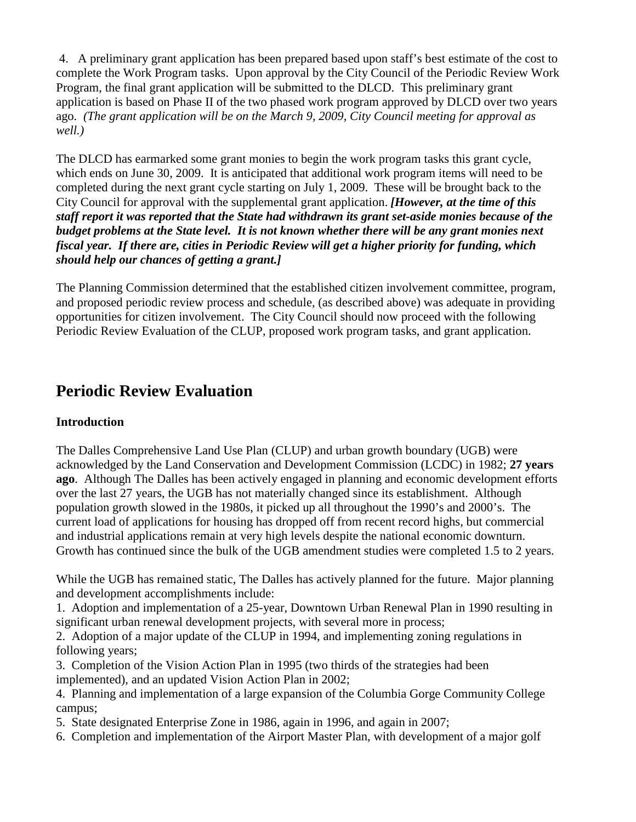4. A preliminary grant application has been prepared based upon staff's best estimate of the cost to complete the Work Program tasks. Upon approval by the City Council of the Periodic Review Work Program, the final grant application will be submitted to the DLCD. This preliminary grant application is based on Phase II of the two phased work program approved by DLCD over two years ago. *(The grant application will be on the March 9, 2009, City Council meeting for approval as well.)*

The DLCD has earmarked some grant monies to begin the work program tasks this grant cycle, which ends on June 30, 2009. It is anticipated that additional work program items will need to be completed during the next grant cycle starting on July 1, 2009. These will be brought back to the City Council for approval with the supplemental grant application. *[However, at the time of this staff report it was reported that the State had withdrawn its grant set-aside monies because of the budget problems at the State level. It is not known whether there will be any grant monies next fiscal year. If there are, cities in Periodic Review will get a higher priority for funding, which should help our chances of getting a grant.]*

The Planning Commission determined that the established citizen involvement committee, program, and proposed periodic review process and schedule, (as described above) was adequate in providing opportunities for citizen involvement. The City Council should now proceed with the following Periodic Review Evaluation of the CLUP, proposed work program tasks, and grant application.

### **Periodic Review Evaluation**

#### **Introduction**

The Dalles Comprehensive Land Use Plan (CLUP) and urban growth boundary (UGB) were acknowledged by the Land Conservation and Development Commission (LCDC) in 1982; **27 years ago**. Although The Dalles has been actively engaged in planning and economic development efforts over the last 27 years, the UGB has not materially changed since its establishment. Although population growth slowed in the 1980s, it picked up all throughout the 1990's and 2000's. The current load of applications for housing has dropped off from recent record highs, but commercial and industrial applications remain at very high levels despite the national economic downturn. Growth has continued since the bulk of the UGB amendment studies were completed 1.5 to 2 years.

While the UGB has remained static, The Dalles has actively planned for the future. Major planning and development accomplishments include:

1. Adoption and implementation of a 25-year, Downtown Urban Renewal Plan in 1990 resulting in significant urban renewal development projects, with several more in process;

2. Adoption of a major update of the CLUP in 1994, and implementing zoning regulations in following years;

3. Completion of the Vision Action Plan in 1995 (two thirds of the strategies had been implemented), and an updated Vision Action Plan in 2002;

4. Planning and implementation of a large expansion of the Columbia Gorge Community College campus;

5. State designated Enterprise Zone in 1986, again in 1996, and again in 2007;

6. Completion and implementation of the Airport Master Plan, with development of a major golf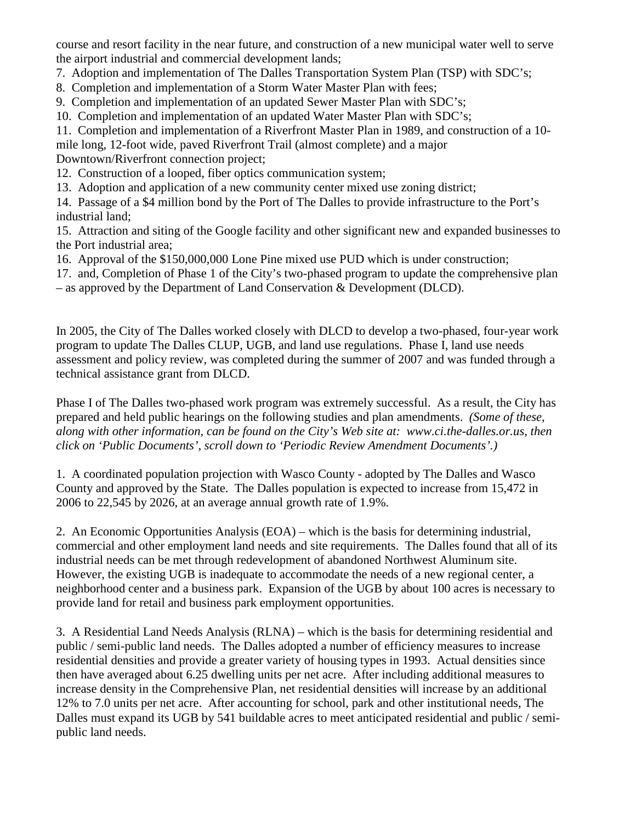course and resort facility in the near future, and construction of a new municipal water well to serve the airport industrial and commercial development lands;

- 7. Adoption and implementation of The Dalles Transportation System Plan (TSP) with SDC's;
- 8. Completion and implementation of a Storm Water Master Plan with fees;
- 9. Completion and implementation of an updated Sewer Master Plan with SDC's;
- 10. Completion and implementation of an updated Water Master Plan with SDC's;

11. Completion and implementation of a Riverfront Master Plan in 1989, and construction of a 10-

mile long, 12-foot wide, paved Riverfront Trail (almost complete) and a major

Downtown/Riverfront connection project;

- 12. Construction of a looped, fiber optics communication system;
- 13. Adoption and application of a new community center mixed use zoning district;

14. Passage of a \$4 million bond by the Port of The Dalles to provide infrastructure to the Port's industrial land;

15. Attraction and siting of the Google facility and other significant new and expanded businesses to the Port industrial area;

- 16. Approval of the \$150,000,000 Lone Pine mixed use PUD which is under construction;
- 17. and, Completion of Phase 1 of the City's two-phased program to update the comprehensive plan – as approved by the Department of Land Conservation & Development (DLCD).

In 2005, the City of The Dalles worked closely with DLCD to develop a two-phased, four-year work program to update The Dalles CLUP, UGB, and land use regulations. Phase I, land use needs assessment and policy review, was completed during the summer of 2007 and was funded through a technical assistance grant from DLCD.

Phase I of The Dalles two-phased work program was extremely successful. As a result, the City has prepared and held public hearings on the following studies and plan amendments. *(Some of these, along with other information, can be found on the City's Web site at: www.ci.the-dalles.or.us, then click on 'Public Documents', scroll down to 'Periodic Review Amendment Documents'.)*

1. A coordinated population projection with Wasco County - adopted by The Dalles and Wasco County and approved by the State. The Dalles population is expected to increase from 15,472 in 2006 to 22,545 by 2026, at an average annual growth rate of 1.9%.

2. An Economic Opportunities Analysis (EOA) – which is the basis for determining industrial, commercial and other employment land needs and site requirements. The Dalles found that all of its industrial needs can be met through redevelopment of abandoned Northwest Aluminum site. However, the existing UGB is inadequate to accommodate the needs of a new regional center, a neighborhood center and a business park. Expansion of the UGB by about 100 acres is necessary to provide land for retail and business park employment opportunities.

3. A Residential Land Needs Analysis (RLNA) – which is the basis for determining residential and public / semi-public land needs. The Dalles adopted a number of efficiency measures to increase residential densities and provide a greater variety of housing types in 1993. Actual densities since then have averaged about 6.25 dwelling units per net acre. After including additional measures to increase density in the Comprehensive Plan, net residential densities will increase by an additional 12% to 7.0 units per net acre. After accounting for school, park and other institutional needs, The Dalles must expand its UGB by 541 buildable acres to meet anticipated residential and public / semipublic land needs.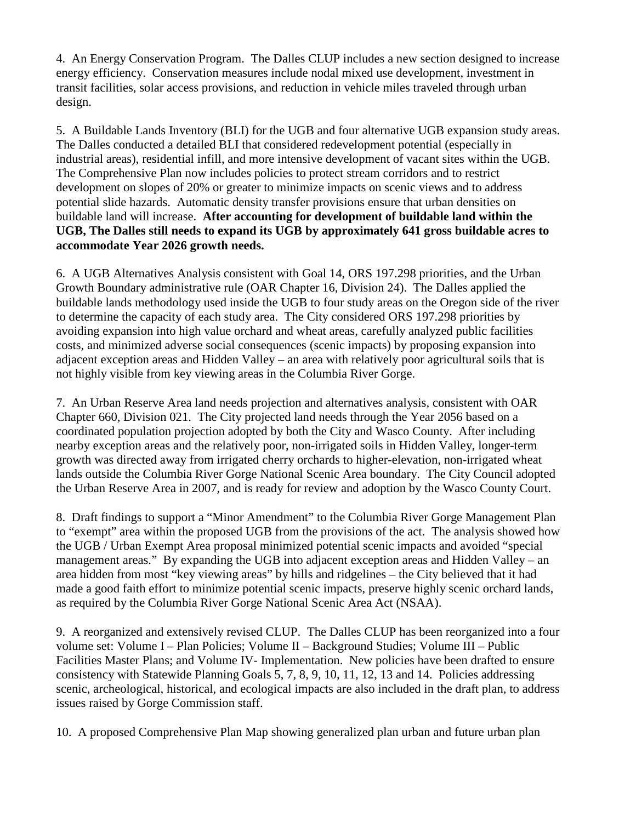4. An Energy Conservation Program. The Dalles CLUP includes a new section designed to increase energy efficiency. Conservation measures include nodal mixed use development, investment in transit facilities, solar access provisions, and reduction in vehicle miles traveled through urban design.

5. A Buildable Lands Inventory (BLI) for the UGB and four alternative UGB expansion study areas. The Dalles conducted a detailed BLI that considered redevelopment potential (especially in industrial areas), residential infill, and more intensive development of vacant sites within the UGB. The Comprehensive Plan now includes policies to protect stream corridors and to restrict development on slopes of 20% or greater to minimize impacts on scenic views and to address potential slide hazards. Automatic density transfer provisions ensure that urban densities on buildable land will increase. **After accounting for development of buildable land within the UGB, The Dalles still needs to expand its UGB by approximately 641 gross buildable acres to accommodate Year 2026 growth needs.**

6. A UGB Alternatives Analysis consistent with Goal 14, ORS 197.298 priorities, and the Urban Growth Boundary administrative rule (OAR Chapter 16, Division 24). The Dalles applied the buildable lands methodology used inside the UGB to four study areas on the Oregon side of the river to determine the capacity of each study area. The City considered ORS 197.298 priorities by avoiding expansion into high value orchard and wheat areas, carefully analyzed public facilities costs, and minimized adverse social consequences (scenic impacts) by proposing expansion into adjacent exception areas and Hidden Valley – an area with relatively poor agricultural soils that is not highly visible from key viewing areas in the Columbia River Gorge.

7. An Urban Reserve Area land needs projection and alternatives analysis, consistent with OAR Chapter 660, Division 021. The City projected land needs through the Year 2056 based on a coordinated population projection adopted by both the City and Wasco County. After including nearby exception areas and the relatively poor, non-irrigated soils in Hidden Valley, longer-term growth was directed away from irrigated cherry orchards to higher-elevation, non-irrigated wheat lands outside the Columbia River Gorge National Scenic Area boundary. The City Council adopted the Urban Reserve Area in 2007, and is ready for review and adoption by the Wasco County Court.

8. Draft findings to support a "Minor Amendment" to the Columbia River Gorge Management Plan to "exempt" area within the proposed UGB from the provisions of the act. The analysis showed how the UGB / Urban Exempt Area proposal minimized potential scenic impacts and avoided "special management areas." By expanding the UGB into adjacent exception areas and Hidden Valley – an area hidden from most "key viewing areas" by hills and ridgelines – the City believed that it had made a good faith effort to minimize potential scenic impacts, preserve highly scenic orchard lands, as required by the Columbia River Gorge National Scenic Area Act (NSAA).

9. A reorganized and extensively revised CLUP. The Dalles CLUP has been reorganized into a four volume set: Volume I – Plan Policies; Volume II – Background Studies; Volume III – Public Facilities Master Plans; and Volume IV- Implementation. New policies have been drafted to ensure consistency with Statewide Planning Goals 5, 7, 8, 9, 10, 11, 12, 13 and 14. Policies addressing scenic, archeological, historical, and ecological impacts are also included in the draft plan, to address issues raised by Gorge Commission staff.

10. A proposed Comprehensive Plan Map showing generalized plan urban and future urban plan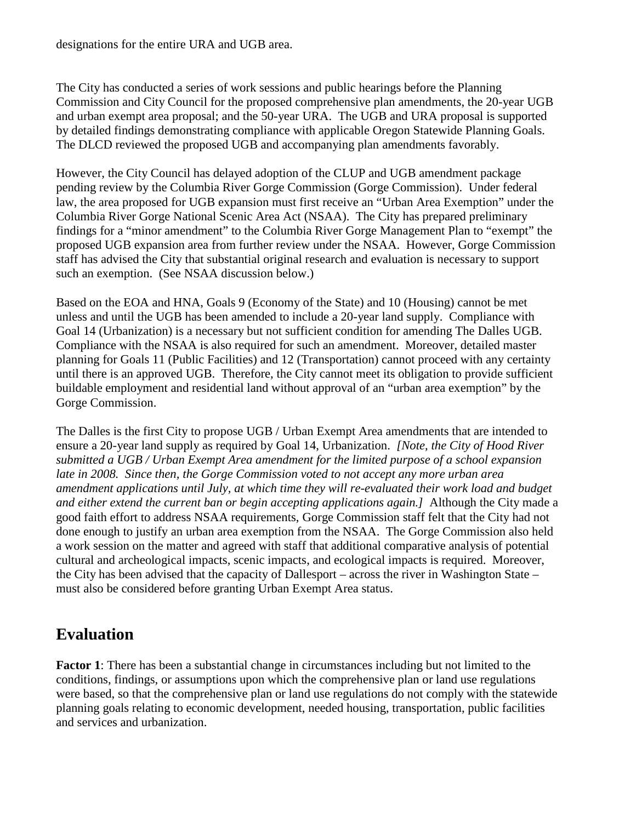designations for the entire URA and UGB area.

The City has conducted a series of work sessions and public hearings before the Planning Commission and City Council for the proposed comprehensive plan amendments, the 20-year UGB and urban exempt area proposal; and the 50-year URA. The UGB and URA proposal is supported by detailed findings demonstrating compliance with applicable Oregon Statewide Planning Goals. The DLCD reviewed the proposed UGB and accompanying plan amendments favorably.

However, the City Council has delayed adoption of the CLUP and UGB amendment package pending review by the Columbia River Gorge Commission (Gorge Commission). Under federal law, the area proposed for UGB expansion must first receive an "Urban Area Exemption" under the Columbia River Gorge National Scenic Area Act (NSAA). The City has prepared preliminary findings for a "minor amendment" to the Columbia River Gorge Management Plan to "exempt" the proposed UGB expansion area from further review under the NSAA. However, Gorge Commission staff has advised the City that substantial original research and evaluation is necessary to support such an exemption. (See NSAA discussion below.)

Based on the EOA and HNA, Goals 9 (Economy of the State) and 10 (Housing) cannot be met unless and until the UGB has been amended to include a 20-year land supply. Compliance with Goal 14 (Urbanization) is a necessary but not sufficient condition for amending The Dalles UGB. Compliance with the NSAA is also required for such an amendment. Moreover, detailed master planning for Goals 11 (Public Facilities) and 12 (Transportation) cannot proceed with any certainty until there is an approved UGB. Therefore, the City cannot meet its obligation to provide sufficient buildable employment and residential land without approval of an "urban area exemption" by the Gorge Commission.

The Dalles is the first City to propose UGB / Urban Exempt Area amendments that are intended to ensure a 20-year land supply as required by Goal 14, Urbanization. *[Note, the City of Hood River submitted a UGB / Urban Exempt Area amendment for the limited purpose of a school expansion late in 2008. Since then, the Gorge Commission voted to not accept any more urban area amendment applications until July, at which time they will re-evaluated their work load and budget and either extend the current ban or begin accepting applications again.]* Although the City made a good faith effort to address NSAA requirements, Gorge Commission staff felt that the City had not done enough to justify an urban area exemption from the NSAA. The Gorge Commission also held a work session on the matter and agreed with staff that additional comparative analysis of potential cultural and archeological impacts, scenic impacts, and ecological impacts is required. Moreover, the City has been advised that the capacity of Dallesport – across the river in Washington State – must also be considered before granting Urban Exempt Area status.

## **Evaluation**

**Factor 1**: There has been a substantial change in circumstances including but not limited to the conditions, findings, or assumptions upon which the comprehensive plan or land use regulations were based, so that the comprehensive plan or land use regulations do not comply with the statewide planning goals relating to economic development, needed housing, transportation, public facilities and services and urbanization.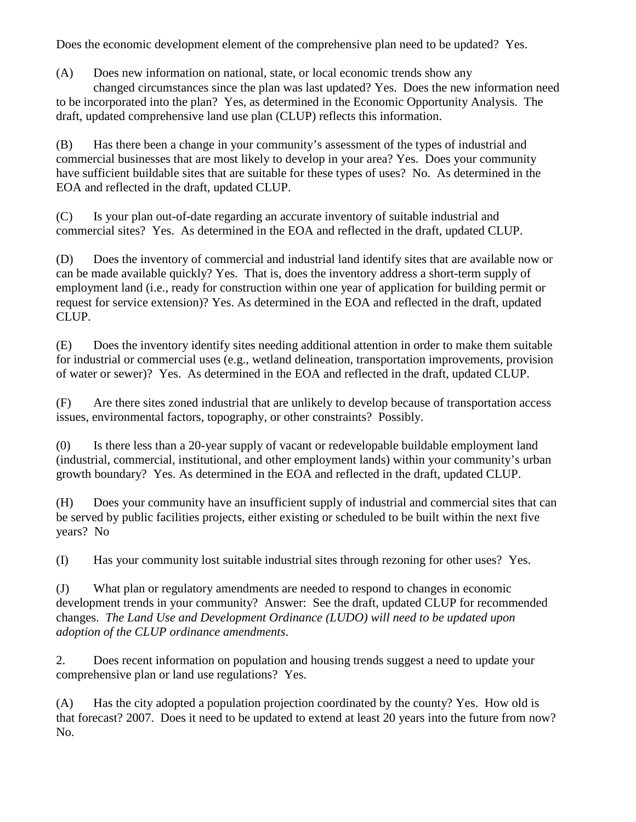Does the economic development element of the comprehensive plan need to be updated? Yes.

(A) Does new information on national, state, or local economic trends show any

changed circumstances since the plan was last updated? Yes. Does the new information need to be incorporated into the plan? Yes, as determined in the Economic Opportunity Analysis. The draft, updated comprehensive land use plan (CLUP) reflects this information.

(B) Has there been a change in your community's assessment of the types of industrial and commercial businesses that are most likely to develop in your area? Yes. Does your community have sufficient buildable sites that are suitable for these types of uses? No. As determined in the EOA and reflected in the draft, updated CLUP.

(C) Is your plan out-of-date regarding an accurate inventory of suitable industrial and commercial sites? Yes. As determined in the EOA and reflected in the draft, updated CLUP.

(D) Does the inventory of commercial and industrial land identify sites that are available now or can be made available quickly? Yes. That is, does the inventory address a short-term supply of employment land (i.e., ready for construction within one year of application for building permit or request for service extension)? Yes. As determined in the EOA and reflected in the draft, updated CLUP.

(E) Does the inventory identify sites needing additional attention in order to make them suitable for industrial or commercial uses (e.g., wetland delineation, transportation improvements, provision of water or sewer)? Yes. As determined in the EOA and reflected in the draft, updated CLUP.

(F) Are there sites zoned industrial that are unlikely to develop because of transportation access issues, environmental factors, topography, or other constraints? Possibly.

(0) Is there less than a 20-year supply of vacant or redevelopable buildable employment land (industrial, commercial, institutional, and other employment lands) within your community's urban growth boundary? Yes. As determined in the EOA and reflected in the draft, updated CLUP.

(H) Does your community have an insufficient supply of industrial and commercial sites that can be served by public facilities projects, either existing or scheduled to be built within the next five years? No

(I) Has your community lost suitable industrial sites through rezoning for other uses? Yes.

(J) What plan or regulatory amendments are needed to respond to changes in economic development trends in your community? Answer: See the draft, updated CLUP for recommended changes. *The Land Use and Development Ordinance (LUDO) will need to be updated upon adoption of the CLUP ordinance amendments*.

2. Does recent information on population and housing trends suggest a need to update your comprehensive plan or land use regulations? Yes.

(A) Has the city adopted a population projection coordinated by the county? Yes. How old is that forecast? 2007. Does it need to be updated to extend at least 20 years into the future from now? No.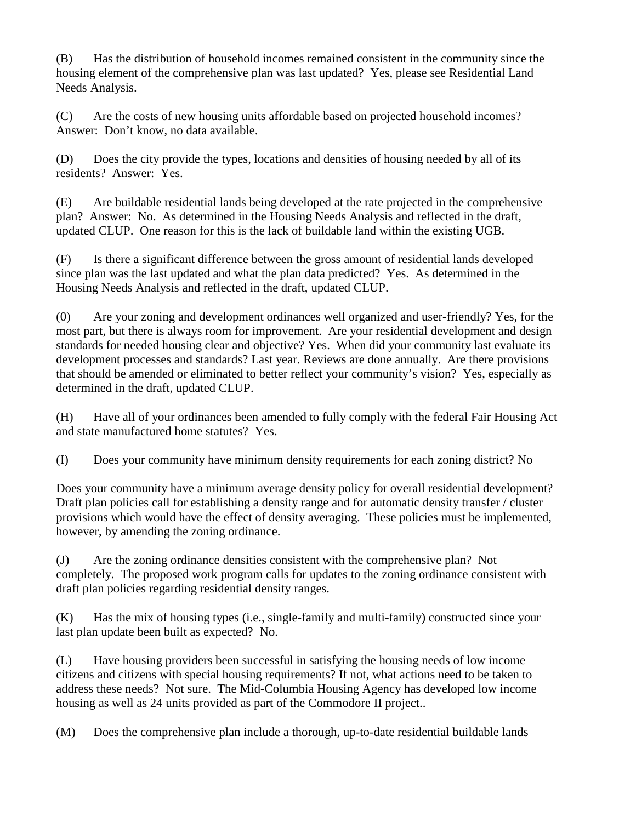(B) Has the distribution of household incomes remained consistent in the community since the housing element of the comprehensive plan was last updated? Yes, please see Residential Land Needs Analysis.

(C) Are the costs of new housing units affordable based on projected household incomes? Answer: Don't know, no data available.

(D) Does the city provide the types, locations and densities of housing needed by all of its residents? Answer: Yes.

(E) Are buildable residential lands being developed at the rate projected in the comprehensive plan? Answer: No. As determined in the Housing Needs Analysis and reflected in the draft, updated CLUP. One reason for this is the lack of buildable land within the existing UGB.

(F) Is there a significant difference between the gross amount of residential lands developed since plan was the last updated and what the plan data predicted? Yes. As determined in the Housing Needs Analysis and reflected in the draft, updated CLUP.

(0) Are your zoning and development ordinances well organized and user-friendly? Yes, for the most part, but there is always room for improvement. Are your residential development and design standards for needed housing clear and objective? Yes. When did your community last evaluate its development processes and standards? Last year. Reviews are done annually. Are there provisions that should be amended or eliminated to better reflect your community's vision? Yes, especially as determined in the draft, updated CLUP.

(H) Have all of your ordinances been amended to fully comply with the federal Fair Housing Act and state manufactured home statutes? Yes.

(I) Does your community have minimum density requirements for each zoning district? No

Does your community have a minimum average density policy for overall residential development? Draft plan policies call for establishing a density range and for automatic density transfer / cluster provisions which would have the effect of density averaging. These policies must be implemented, however, by amending the zoning ordinance.

(J) Are the zoning ordinance densities consistent with the comprehensive plan? Not completely. The proposed work program calls for updates to the zoning ordinance consistent with draft plan policies regarding residential density ranges.

(K) Has the mix of housing types (i.e., single-family and multi-family) constructed since your last plan update been built as expected? No.

(L) Have housing providers been successful in satisfying the housing needs of low income citizens and citizens with special housing requirements? If not, what actions need to be taken to address these needs? Not sure. The Mid-Columbia Housing Agency has developed low income housing as well as 24 units provided as part of the Commodore II project..

(M) Does the comprehensive plan include a thorough, up-to-date residential buildable lands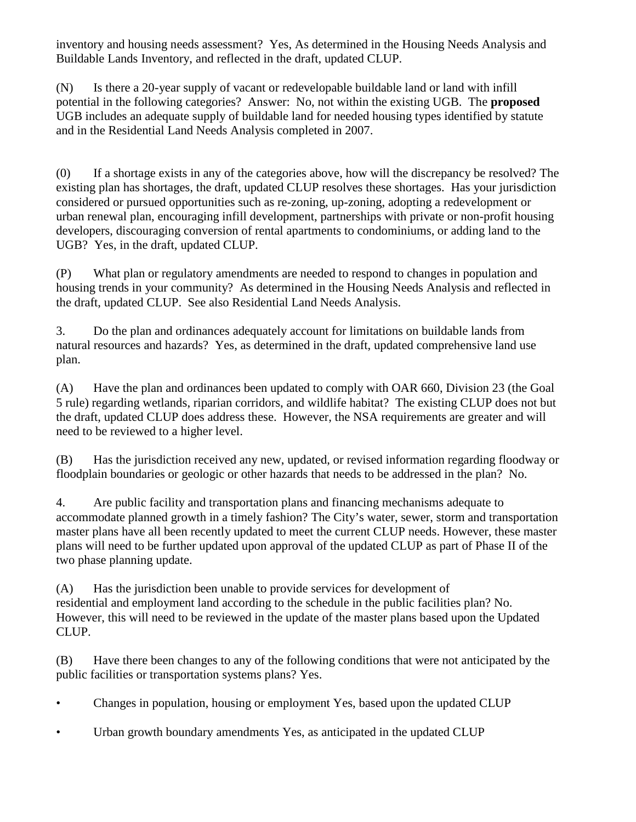inventory and housing needs assessment? Yes, As determined in the Housing Needs Analysis and Buildable Lands Inventory, and reflected in the draft, updated CLUP.

(N) Is there a 20-year supply of vacant or redevelopable buildable land or land with infill potential in the following categories? Answer: No, not within the existing UGB. The **proposed** UGB includes an adequate supply of buildable land for needed housing types identified by statute and in the Residential Land Needs Analysis completed in 2007.

(0) If a shortage exists in any of the categories above, how will the discrepancy be resolved? The existing plan has shortages, the draft, updated CLUP resolves these shortages. Has your jurisdiction considered or pursued opportunities such as re-zoning, up-zoning, adopting a redevelopment or urban renewal plan, encouraging infill development, partnerships with private or non-profit housing developers, discouraging conversion of rental apartments to condominiums, or adding land to the UGB? Yes, in the draft, updated CLUP.

(P) What plan or regulatory amendments are needed to respond to changes in population and housing trends in your community? As determined in the Housing Needs Analysis and reflected in the draft, updated CLUP. See also Residential Land Needs Analysis.

3. Do the plan and ordinances adequately account for limitations on buildable lands from natural resources and hazards? Yes, as determined in the draft, updated comprehensive land use plan.

(A) Have the plan and ordinances been updated to comply with OAR 660, Division 23 (the Goal 5 rule) regarding wetlands, riparian corridors, and wildlife habitat? The existing CLUP does not but the draft, updated CLUP does address these. However, the NSA requirements are greater and will need to be reviewed to a higher level.

(B) Has the jurisdiction received any new, updated, or revised information regarding floodway or floodplain boundaries or geologic or other hazards that needs to be addressed in the plan? No.

4. Are public facility and transportation plans and financing mechanisms adequate to accommodate planned growth in a timely fashion? The City's water, sewer, storm and transportation master plans have all been recently updated to meet the current CLUP needs. However, these master plans will need to be further updated upon approval of the updated CLUP as part of Phase II of the two phase planning update.

(A) Has the jurisdiction been unable to provide services for development of residential and employment land according to the schedule in the public facilities plan? No. However, this will need to be reviewed in the update of the master plans based upon the Updated CLUP.

(B) Have there been changes to any of the following conditions that were not anticipated by the public facilities or transportation systems plans? Yes.

- Changes in population, housing or employment Yes, based upon the updated CLUP
- Urban growth boundary amendments Yes, as anticipated in the updated CLUP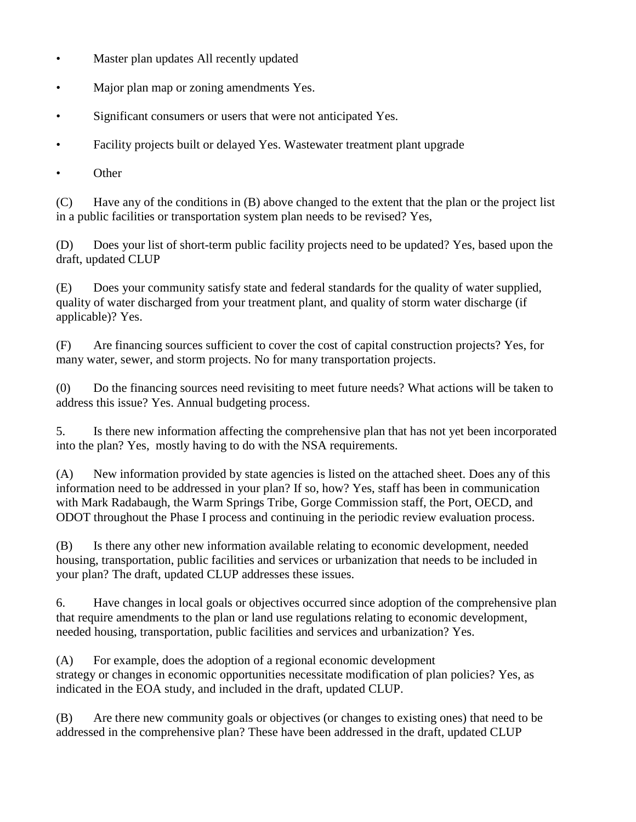- Master plan updates All recently updated
- Major plan map or zoning amendments Yes.
- Significant consumers or users that were not anticipated Yes.
- Facility projects built or delayed Yes. Wastewater treatment plant upgrade
- Other

(C) Have any of the conditions in (B) above changed to the extent that the plan or the project list in a public facilities or transportation system plan needs to be revised? Yes,

(D) Does your list of short-term public facility projects need to be updated? Yes, based upon the draft, updated CLUP

(E) Does your community satisfy state and federal standards for the quality of water supplied, quality of water discharged from your treatment plant, and quality of storm water discharge (if applicable)? Yes.

(F) Are financing sources sufficient to cover the cost of capital construction projects? Yes, for many water, sewer, and storm projects. No for many transportation projects.

(0) Do the financing sources need revisiting to meet future needs? What actions will be taken to address this issue? Yes. Annual budgeting process.

5. Is there new information affecting the comprehensive plan that has not yet been incorporated into the plan? Yes, mostly having to do with the NSA requirements.

(A) New information provided by state agencies is listed on the attached sheet. Does any of this information need to be addressed in your plan? If so, how? Yes, staff has been in communication with Mark Radabaugh, the Warm Springs Tribe, Gorge Commission staff, the Port, OECD, and ODOT throughout the Phase I process and continuing in the periodic review evaluation process.

(B) Is there any other new information available relating to economic development, needed housing, transportation, public facilities and services or urbanization that needs to be included in your plan? The draft, updated CLUP addresses these issues.

6. Have changes in local goals or objectives occurred since adoption of the comprehensive plan that require amendments to the plan or land use regulations relating to economic development, needed housing, transportation, public facilities and services and urbanization? Yes.

(A) For example, does the adoption of a regional economic development strategy or changes in economic opportunities necessitate modification of plan policies? Yes, as indicated in the EOA study, and included in the draft, updated CLUP.

(B) Are there new community goals or objectives (or changes to existing ones) that need to be addressed in the comprehensive plan? These have been addressed in the draft, updated CLUP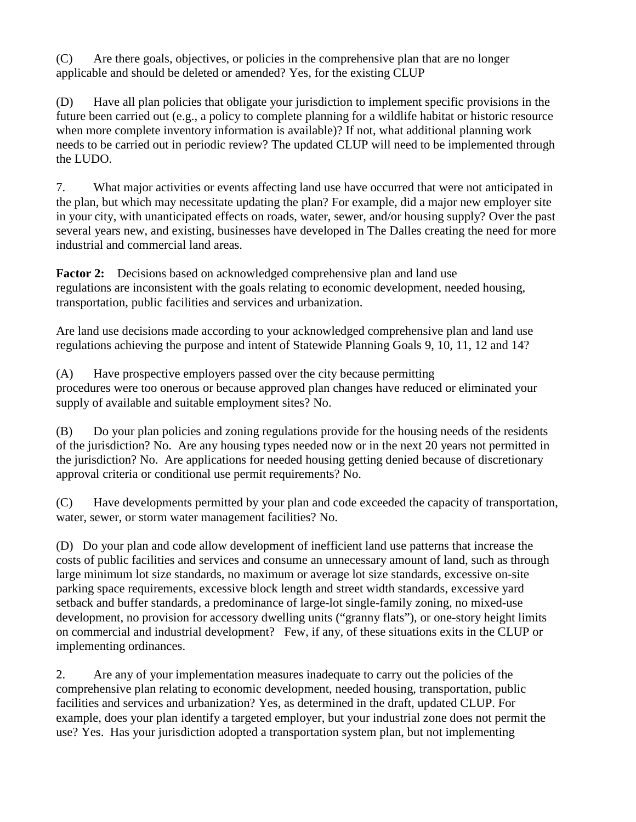(C) Are there goals, objectives, or policies in the comprehensive plan that are no longer applicable and should be deleted or amended? Yes, for the existing CLUP

(D) Have all plan policies that obligate your jurisdiction to implement specific provisions in the future been carried out (e.g., a policy to complete planning for a wildlife habitat or historic resource when more complete inventory information is available)? If not, what additional planning work needs to be carried out in periodic review? The updated CLUP will need to be implemented through the LUDO.

7. What major activities or events affecting land use have occurred that were not anticipated in the plan, but which may necessitate updating the plan? For example, did a major new employer site in your city, with unanticipated effects on roads, water, sewer, and/or housing supply? Over the past several years new, and existing, businesses have developed in The Dalles creating the need for more industrial and commercial land areas.

**Factor 2:** Decisions based on acknowledged comprehensive plan and land use regulations are inconsistent with the goals relating to economic development, needed housing, transportation, public facilities and services and urbanization.

Are land use decisions made according to your acknowledged comprehensive plan and land use regulations achieving the purpose and intent of Statewide Planning Goals 9, 10, 11, 12 and 14?

(A) Have prospective employers passed over the city because permitting procedures were too onerous or because approved plan changes have reduced or eliminated your supply of available and suitable employment sites? No.

(B) Do your plan policies and zoning regulations provide for the housing needs of the residents of the jurisdiction? No. Are any housing types needed now or in the next 20 years not permitted in the jurisdiction? No. Are applications for needed housing getting denied because of discretionary approval criteria or conditional use permit requirements? No.

(C) Have developments permitted by your plan and code exceeded the capacity of transportation, water, sewer, or storm water management facilities? No.

(D) Do your plan and code allow development of inefficient land use patterns that increase the costs of public facilities and services and consume an unnecessary amount of land, such as through large minimum lot size standards, no maximum or average lot size standards, excessive on-site parking space requirements, excessive block length and street width standards, excessive yard setback and buffer standards, a predominance of large-lot single-family zoning, no mixed-use development, no provision for accessory dwelling units ("granny flats"), or one-story height limits on commercial and industrial development? Few, if any, of these situations exits in the CLUP or implementing ordinances.

2. Are any of your implementation measures inadequate to carry out the policies of the comprehensive plan relating to economic development, needed housing, transportation, public facilities and services and urbanization? Yes, as determined in the draft, updated CLUP. For example, does your plan identify a targeted employer, but your industrial zone does not permit the use? Yes. Has your jurisdiction adopted a transportation system plan, but not implementing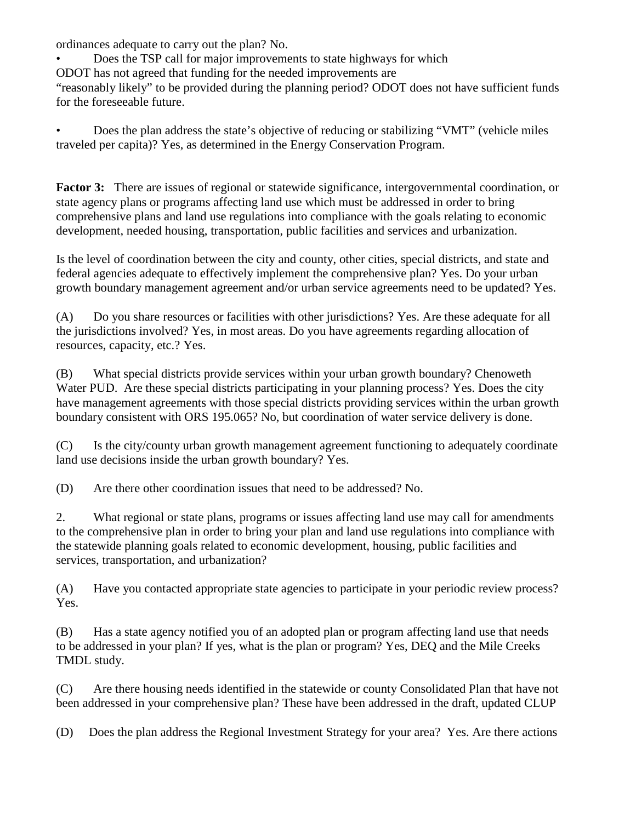ordinances adequate to carry out the plan? No.

• Does the TSP call for major improvements to state highways for which ODOT has not agreed that funding for the needed improvements are "reasonably likely" to be provided during the planning period? ODOT does not have sufficient funds for the foreseeable future.

• Does the plan address the state's objective of reducing or stabilizing "VMT" (vehicle miles traveled per capita)? Yes, as determined in the Energy Conservation Program.

**Factor 3:** There are issues of regional or statewide significance, intergovernmental coordination, or state agency plans or programs affecting land use which must be addressed in order to bring comprehensive plans and land use regulations into compliance with the goals relating to economic development, needed housing, transportation, public facilities and services and urbanization.

Is the level of coordination between the city and county, other cities, special districts, and state and federal agencies adequate to effectively implement the comprehensive plan? Yes. Do your urban growth boundary management agreement and/or urban service agreements need to be updated? Yes.

(A) Do you share resources or facilities with other jurisdictions? Yes. Are these adequate for all the jurisdictions involved? Yes, in most areas. Do you have agreements regarding allocation of resources, capacity, etc.? Yes.

(B) What special districts provide services within your urban growth boundary? Chenoweth Water PUD. Are these special districts participating in your planning process? Yes. Does the city have management agreements with those special districts providing services within the urban growth boundary consistent with ORS 195.065? No, but coordination of water service delivery is done.

(C) Is the city/county urban growth management agreement functioning to adequately coordinate land use decisions inside the urban growth boundary? Yes.

(D) Are there other coordination issues that need to be addressed? No.

2. What regional or state plans, programs or issues affecting land use may call for amendments to the comprehensive plan in order to bring your plan and land use regulations into compliance with the statewide planning goals related to economic development, housing, public facilities and services, transportation, and urbanization?

(A) Have you contacted appropriate state agencies to participate in your periodic review process? Yes.

(B) Has a state agency notified you of an adopted plan or program affecting land use that needs to be addressed in your plan? If yes, what is the plan or program? Yes, DEQ and the Mile Creeks TMDL study.

(C) Are there housing needs identified in the statewide or county Consolidated Plan that have not been addressed in your comprehensive plan? These have been addressed in the draft, updated CLUP

(D) Does the plan address the Regional Investment Strategy for your area? Yes. Are there actions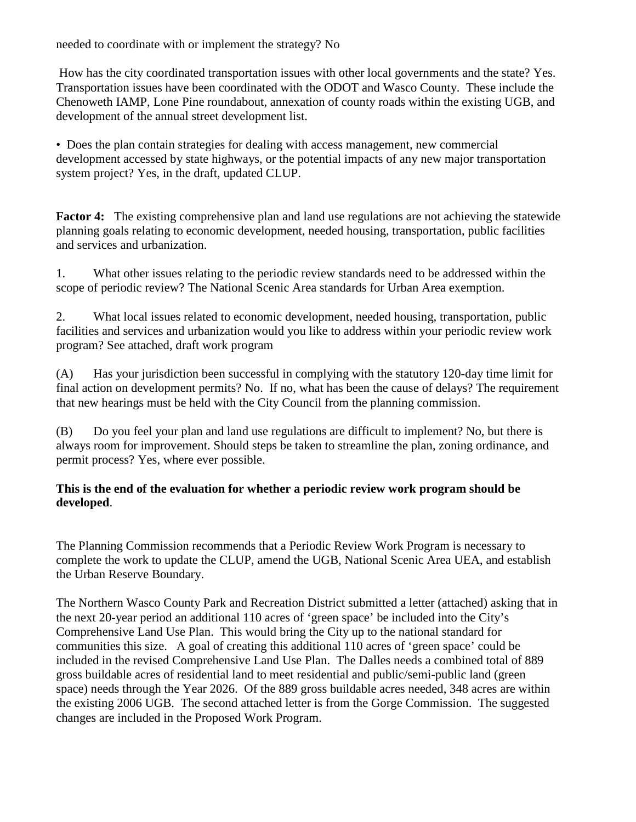needed to coordinate with or implement the strategy? No

How has the city coordinated transportation issues with other local governments and the state? Yes. Transportation issues have been coordinated with the ODOT and Wasco County. These include the Chenoweth IAMP, Lone Pine roundabout, annexation of county roads within the existing UGB, and development of the annual street development list.

• Does the plan contain strategies for dealing with access management, new commercial development accessed by state highways, or the potential impacts of any new major transportation system project? Yes, in the draft, updated CLUP.

**Factor 4:** The existing comprehensive plan and land use regulations are not achieving the statewide planning goals relating to economic development, needed housing, transportation, public facilities and services and urbanization.

1. What other issues relating to the periodic review standards need to be addressed within the scope of periodic review? The National Scenic Area standards for Urban Area exemption.

2. What local issues related to economic development, needed housing, transportation, public facilities and services and urbanization would you like to address within your periodic review work program? See attached, draft work program

(A) Has your jurisdiction been successful in complying with the statutory 120-day time limit for final action on development permits? No. If no, what has been the cause of delays? The requirement that new hearings must be held with the City Council from the planning commission.

(B) Do you feel your plan and land use regulations are difficult to implement? No, but there is always room for improvement. Should steps be taken to streamline the plan, zoning ordinance, and permit process? Yes, where ever possible.

#### **This is the end of the evaluation for whether a periodic review work program should be developed**.

The Planning Commission recommends that a Periodic Review Work Program is necessary to complete the work to update the CLUP, amend the UGB, National Scenic Area UEA, and establish the Urban Reserve Boundary.

The Northern Wasco County Park and Recreation District submitted a letter (attached) asking that in the next 20-year period an additional 110 acres of 'green space' be included into the City's Comprehensive Land Use Plan. This would bring the City up to the national standard for communities this size. A goal of creating this additional 110 acres of 'green space' could be included in the revised Comprehensive Land Use Plan. The Dalles needs a combined total of 889 gross buildable acres of residential land to meet residential and public/semi-public land (green space) needs through the Year 2026. Of the 889 gross buildable acres needed, 348 acres are within the existing 2006 UGB. The second attached letter is from the Gorge Commission. The suggested changes are included in the Proposed Work Program.